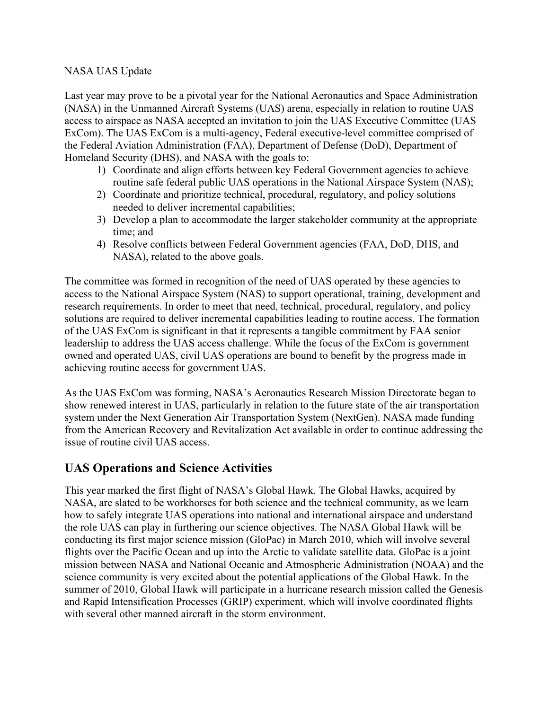## NASA UAS Update

Last year may prove to be a pivotal year for the National Aeronautics and Space Administration (NASA) in the Unmanned Aircraft Systems (UAS) arena, especially in relation to routine UAS access to airspace as NASA accepted an invitation to join the UAS Executive Committee (UAS ExCom). The UAS ExCom is a multi-agency, Federal executive-level committee comprised of the Federal Aviation Administration (FAA), Department of Defense (DoD), Department of Homeland Security (DHS), and NASA with the goals to:

- 1) Coordinate and align efforts between key Federal Government agencies to achieve routine safe federal public UAS operations in the National Airspace System (NAS);
- 2) Coordinate and prioritize technical, procedural, regulatory, and policy solutions needed to deliver incremental capabilities;
- 3) Develop a plan to accommodate the larger stakeholder community at the appropriate time; and
- 4) Resolve conflicts between Federal Government agencies (FAA, DoD, DHS, and NASA), related to the above goals.

The committee was formed in recognition of the need of UAS operated by these agencies to access to the National Airspace System (NAS) to support operational, training, development and research requirements. In order to meet that need, technical, procedural, regulatory, and policy solutions are required to deliver incremental capabilities leading to routine access. The formation of the UAS ExCom is significant in that it represents a tangible commitment by FAA senior leadership to address the UAS access challenge. While the focus of the ExCom is government owned and operated UAS, civil UAS operations are bound to benefit by the progress made in achieving routine access for government UAS.

As the UAS ExCom was forming, NASA's Aeronautics Research Mission Directorate began to show renewed interest in UAS, particularly in relation to the future state of the air transportation system under the Next Generation Air Transportation System (NextGen). NASA made funding from the American Recovery and Revitalization Act available in order to continue addressing the issue of routine civil UAS access.

## **UAS Operations and Science Activities**

This year marked the first flight of NASA's Global Hawk. The Global Hawks, acquired by NASA, are slated to be workhorses for both science and the technical community, as we learn how to safely integrate UAS operations into national and international airspace and understand the role UAS can play in furthering our science objectives. The NASA Global Hawk will be conducting its first major science mission (GloPac) in March 2010, which will involve several flights over the Pacific Ocean and up into the Arctic to validate satellite data. GloPac is a joint mission between NASA and National Oceanic and Atmospheric Administration (NOAA) and the science community is very excited about the potential applications of the Global Hawk. In the summer of 2010, Global Hawk will participate in a hurricane research mission called the Genesis and Rapid Intensification Processes (GRIP) experiment, which will involve coordinated flights with several other manned aircraft in the storm environment.